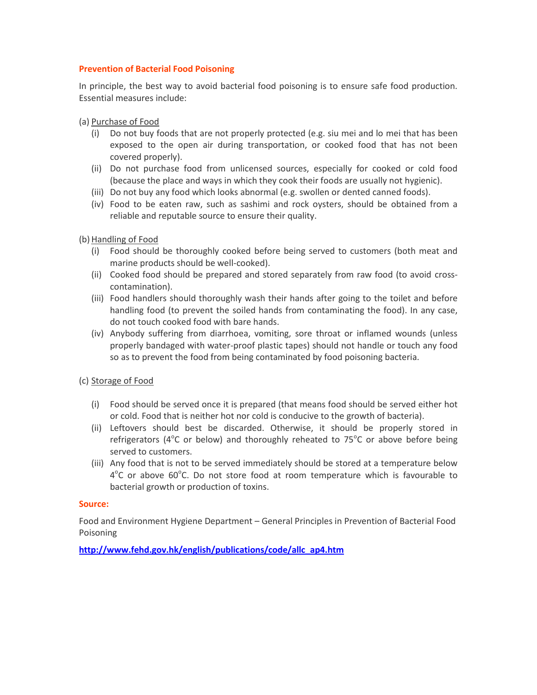#### **Prevention of Bacterial Food Poisoning**

In principle, the best way to avoid bacterial food poisoning is to ensure safe food production. Essential measures include:

(a) Purchase of Food

- (i) Do not buy foods that are not properly protected (e.g. siu mei and lo mei that has been exposed to the open air during transportation, or cooked food that has not been covered properly).
- (ii) Do not purchase food from unlicensed sources, especially for cooked or cold food (because the place and ways in which they cook their foods are usually not hygienic).
- (iii) Do not buy any food which looks abnormal (e.g. swollen or dented canned foods).
- (iv) Food to be eaten raw, such as sashimi and rock oysters, should be obtained from a reliable and reputable source to ensure their quality.

(b) Handling of Food

- (i) Food should be thoroughly cooked before being served to customers (both meat and marine products should be well-cooked).
- (ii) Cooked food should be prepared and stored separately from raw food (to avoid crosscontamination).
- (iii) Food handlers should thoroughly wash their hands after going to the toilet and before handling food (to prevent the soiled hands from contaminating the food). In any case, do not touch cooked food with bare hands.
- (iv) Anybody suffering from diarrhoea, vomiting, sore throat or inflamed wounds (unless properly bandaged with water-proof plastic tapes) should not handle or touch any food so as to prevent the food from being contaminated by food poisoning bacteria.

## (c) Storage of Food

- (i) Food should be served once it is prepared (that means food should be served either hot or cold. Food that is neither hot nor cold is conducive to the growth of bacteria).
- (ii) Leftovers should best be discarded. Otherwise, it should be properly stored in refrigerators ( $4^{\circ}$ C or below) and thoroughly reheated to 75 $^{\circ}$ C or above before being served to customers.
- (iii) Any food that is not to be served immediately should be stored at a temperature below 4°C or above 60°C. Do not store food at room temperature which is favourable to bacterial growth or production of toxins.

#### **Source:**

Food and Environment Hygiene Department – General Principles in Prevention of Bacterial Food Poisoning

**[http://www.fehd.gov.hk/english/publications/code/allc\\_ap4.htm](http://www.fehd.gov.hk/english/publications/code/allc_ap4.htm)**